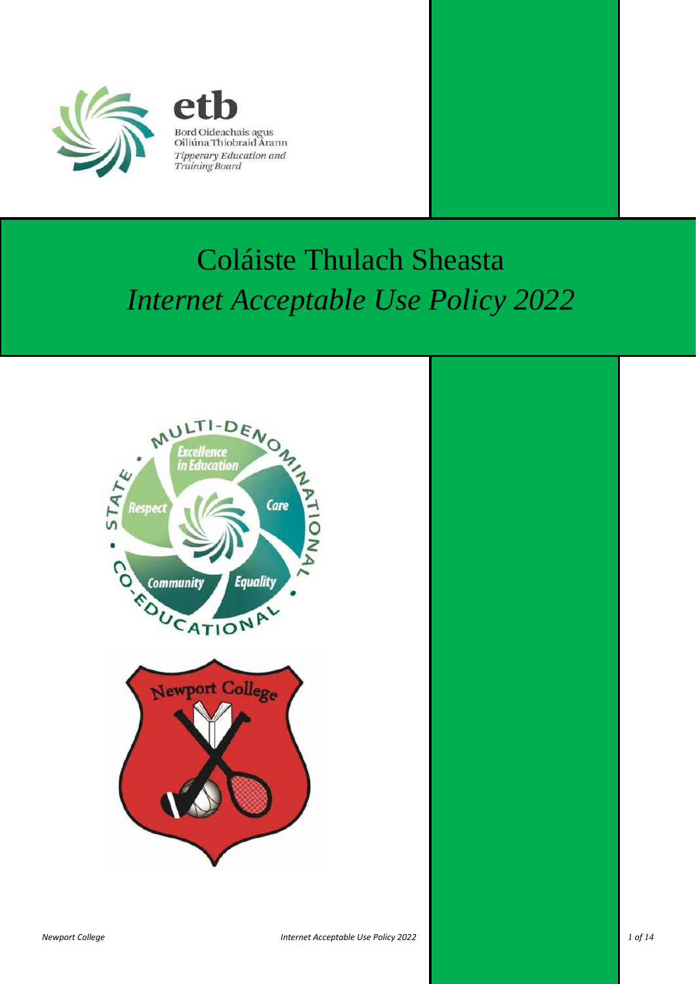



# Coláiste Thulach Sheasta *Internet Acceptable Use Policy 2022*

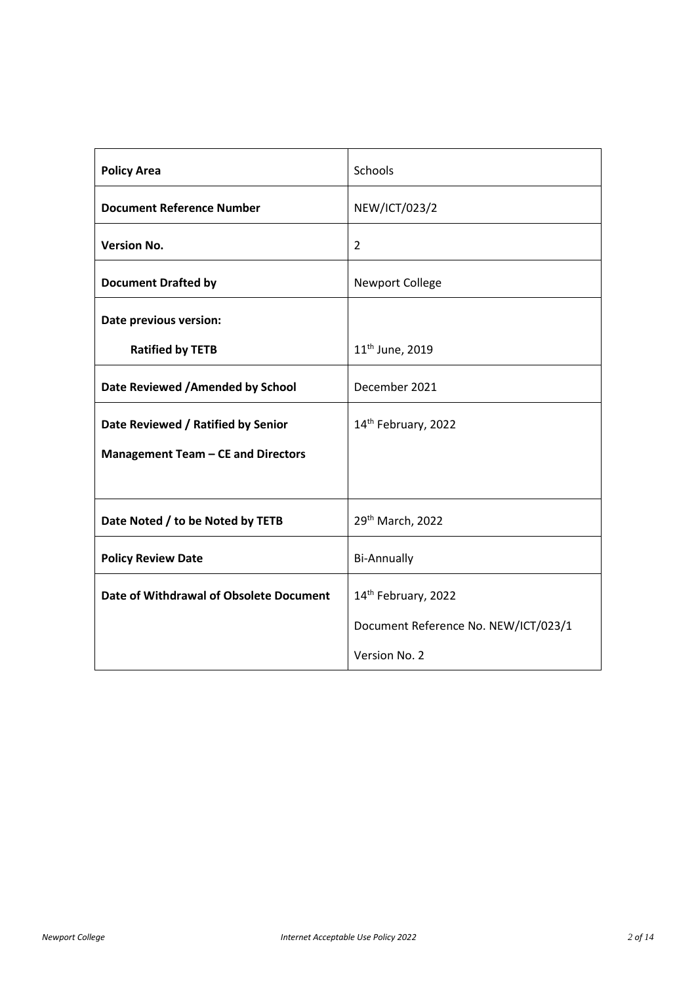| <b>Policy Area</b>                      | Schools                              |  |  |
|-----------------------------------------|--------------------------------------|--|--|
| <b>Document Reference Number</b>        | NEW/ICT/023/2                        |  |  |
| <b>Version No.</b>                      | $\overline{2}$                       |  |  |
| <b>Document Drafted by</b>              | <b>Newport College</b>               |  |  |
| Date previous version:                  |                                      |  |  |
| <b>Ratified by TETB</b>                 | 11 <sup>th</sup> June, 2019          |  |  |
| Date Reviewed / Amended by School       | December 2021                        |  |  |
| Date Reviewed / Ratified by Senior      | 14th February, 2022                  |  |  |
| Management Team - CE and Directors      |                                      |  |  |
|                                         |                                      |  |  |
| Date Noted / to be Noted by TETB        | 29th March, 2022                     |  |  |
| <b>Policy Review Date</b>               | <b>Bi-Annually</b>                   |  |  |
| Date of Withdrawal of Obsolete Document | 14th February, 2022                  |  |  |
|                                         | Document Reference No. NEW/ICT/023/1 |  |  |
|                                         | Version No. 2                        |  |  |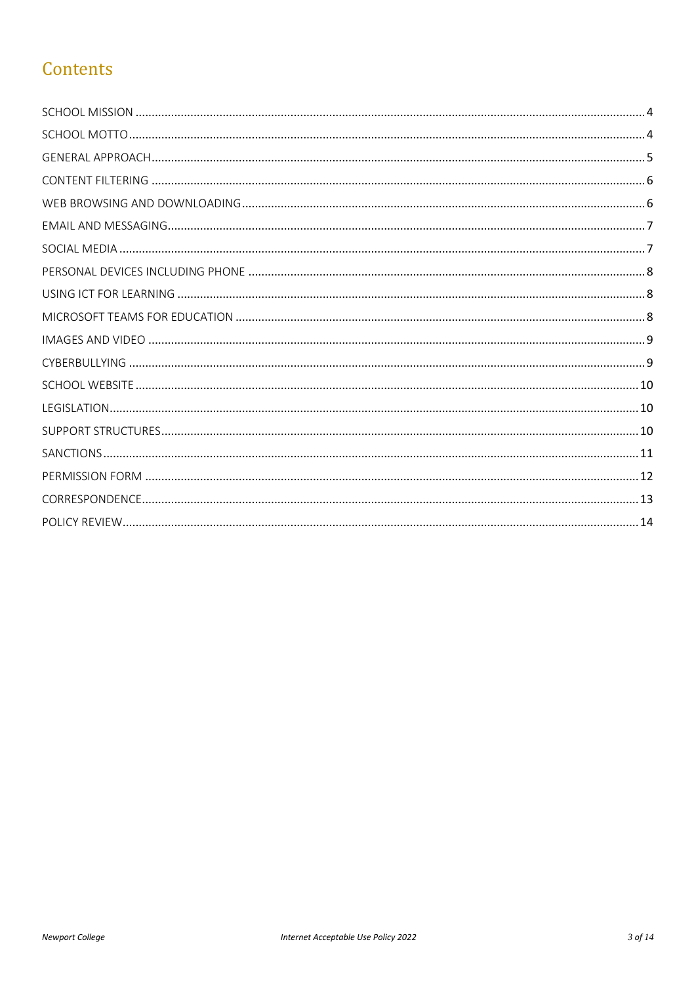## Contents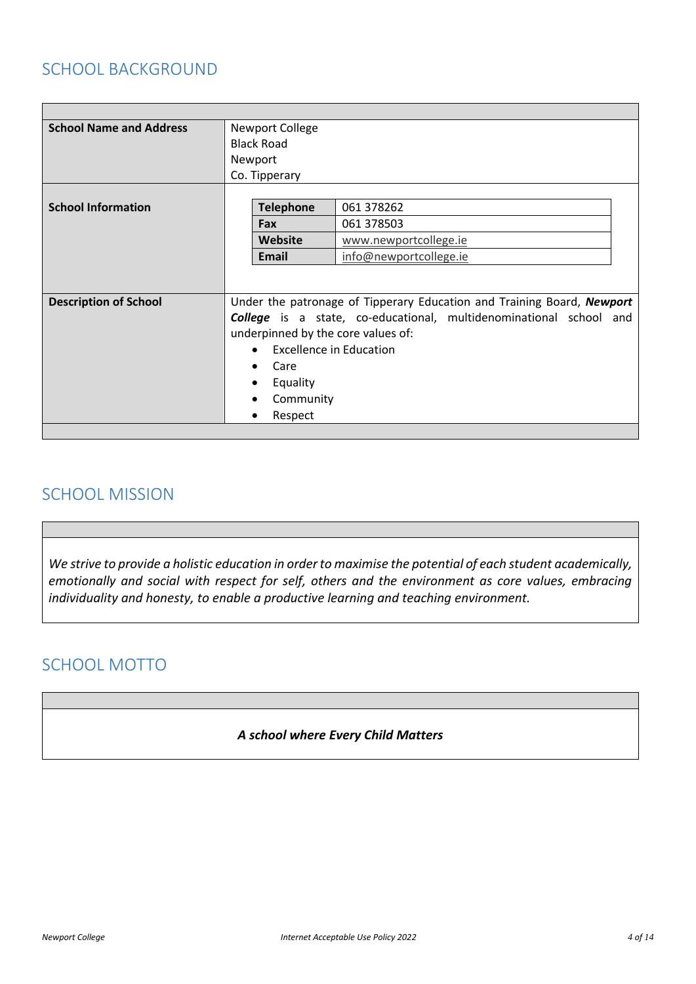#### SCHOOL BACKGROUND

| <b>School Name and Address</b> | Newport College<br><b>Black Road</b>                                   |                        |  |
|--------------------------------|------------------------------------------------------------------------|------------------------|--|
|                                | Newport                                                                |                        |  |
|                                | Co. Tipperary                                                          |                        |  |
|                                |                                                                        |                        |  |
| <b>School Information</b>      | <b>Telephone</b>                                                       | 061 378262             |  |
|                                | Fax                                                                    | 061 378503             |  |
|                                | Website                                                                | www.newportcollege.ie  |  |
|                                | Email                                                                  | info@newportcollege.ie |  |
|                                |                                                                        |                        |  |
|                                |                                                                        |                        |  |
| <b>Description of School</b>   | Under the patronage of Tipperary Education and Training Board, Newport |                        |  |
|                                | College is a state, co-educational, multidenominational school and     |                        |  |
|                                | underpinned by the core values of:                                     |                        |  |
|                                | Excellence in Education                                                |                        |  |
|                                | Care                                                                   |                        |  |
|                                | Equality                                                               |                        |  |
|                                | Community                                                              |                        |  |
|                                | Respect                                                                |                        |  |
|                                |                                                                        |                        |  |

#### <span id="page-3-0"></span>SCHOOL MISSION

*We strive to provide a holistic education in order to maximise the potential of each student academically, emotionally and social with respect for self, others and the environment as core values, embracing individuality and honesty, to enable a productive learning and teaching environment.*

## <span id="page-3-1"></span>SCHOOL MOTTO

#### *A school where Every Child Matters*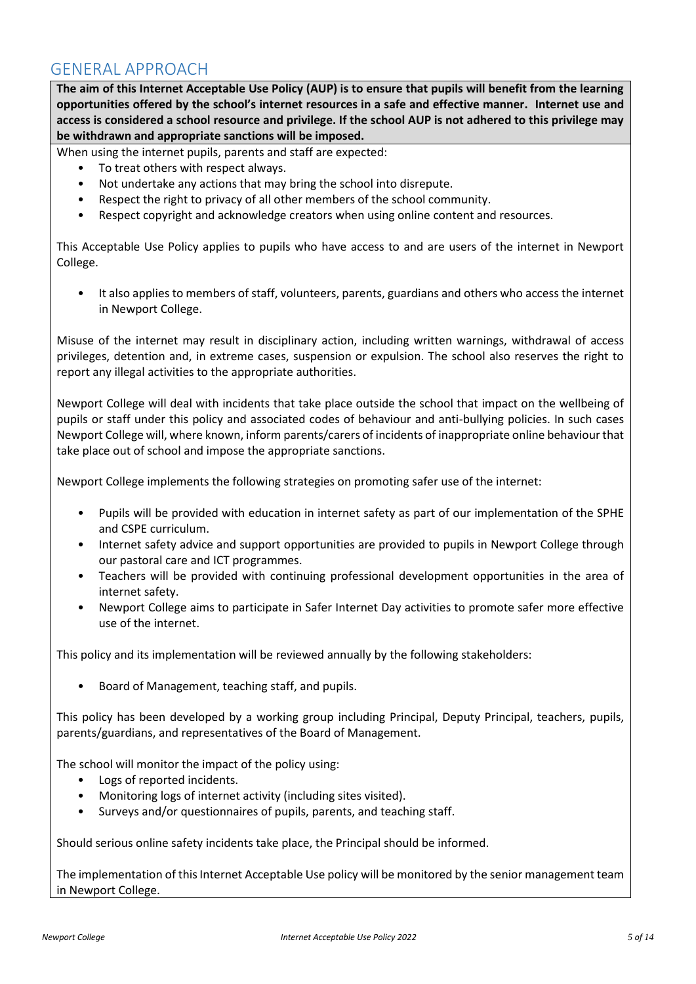#### <span id="page-4-0"></span>GENERAL APPROACH

**The aim of this Internet Acceptable Use Policy (AUP) is to ensure that pupils will benefit from the learning opportunities offered by the school's internet resources in a safe and effective manner. Internet use and access is considered a school resource and privilege. If the school AUP is not adhered to this privilege may be withdrawn and appropriate sanctions will be imposed.** 

When using the internet pupils, parents and staff are expected:

- To treat others with respect always.
- Not undertake any actions that may bring the school into disrepute.
- Respect the right to privacy of all other members of the school community.
- Respect copyright and acknowledge creators when using online content and resources.

This Acceptable Use Policy applies to pupils who have access to and are users of the internet in Newport College.

• It also applies to members of staff, volunteers, parents, guardians and others who access the internet in Newport College.

Misuse of the internet may result in disciplinary action, including written warnings, withdrawal of access privileges, detention and, in extreme cases, suspension or expulsion. The school also reserves the right to report any illegal activities to the appropriate authorities.

Newport College will deal with incidents that take place outside the school that impact on the wellbeing of pupils or staff under this policy and associated codes of behaviour and anti-bullying policies. In such cases Newport College will, where known, inform parents/carers of incidents of inappropriate online behaviour that take place out of school and impose the appropriate sanctions.

Newport College implements the following strategies on promoting safer use of the internet:

- Pupils will be provided with education in internet safety as part of our implementation of the SPHE and CSPE curriculum.
- Internet safety advice and support opportunities are provided to pupils in Newport College through our pastoral care and ICT programmes.
- Teachers will be provided with continuing professional development opportunities in the area of internet safety.
- Newport College aims to participate in Safer Internet Day activities to promote safer more effective use of the internet.

This policy and its implementation will be reviewed annually by the following stakeholders:

• Board of Management, teaching staff, and pupils.

This policy has been developed by a working group including Principal, Deputy Principal, teachers, pupils, parents/guardians, and representatives of the Board of Management.

The school will monitor the impact of the policy using:

- Logs of reported incidents.
- Monitoring logs of internet activity (including sites visited).
- Surveys and/or questionnaires of pupils, parents, and teaching staff.

Should serious online safety incidents take place, the Principal should be informed.

The implementation of this Internet Acceptable Use policy will be monitored by the senior management team in Newport College.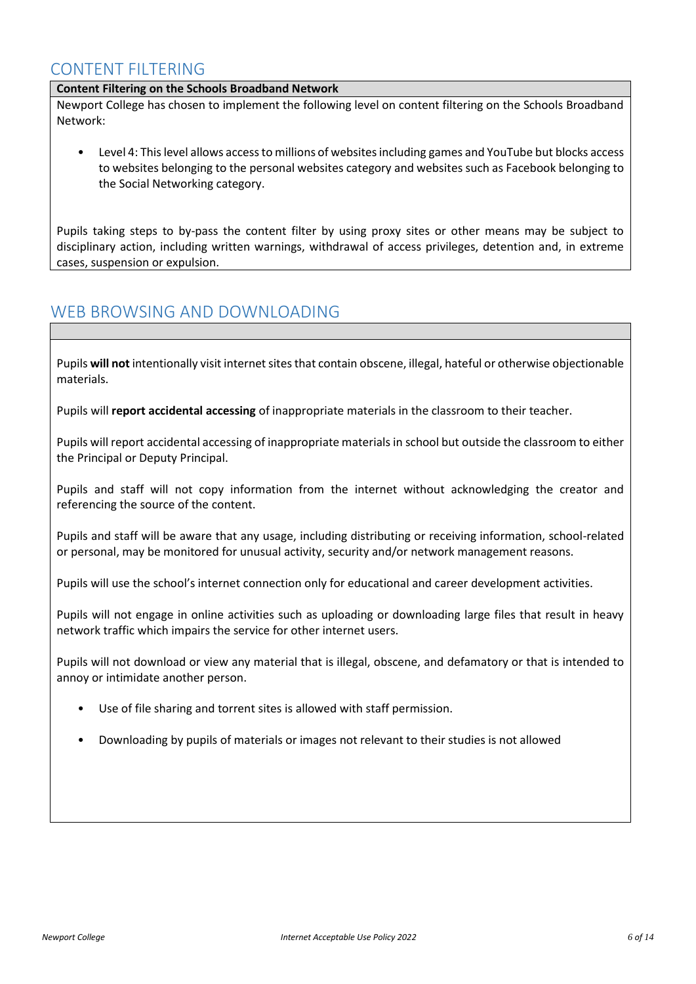#### <span id="page-5-0"></span>CONTENT FILTERING

#### **Content Filtering on the Schools Broadband Network**

Newport College has chosen to implement the following level on content filtering on the Schools Broadband Network:

• Level 4: This level allows access to millions of websites including games and YouTube but blocks access to websites belonging to the personal websites category and websites such as Facebook belonging to the Social Networking category.

Pupils taking steps to by-pass the content filter by using proxy sites or other means may be subject to disciplinary action, including written warnings, withdrawal of access privileges, detention and, in extreme cases, suspension or expulsion.

#### <span id="page-5-1"></span>WEB BROWSING AND DOWNLOADING

Pupils **will not** intentionally visit internet sites that contain obscene, illegal, hateful or otherwise objectionable materials.

Pupils will **report accidental accessing** of inappropriate materials in the classroom to their teacher.

Pupils will report accidental accessing of inappropriate materials in school but outside the classroom to either the Principal or Deputy Principal.

Pupils and staff will not copy information from the internet without acknowledging the creator and referencing the source of the content.

Pupils and staff will be aware that any usage, including distributing or receiving information, school-related or personal, may be monitored for unusual activity, security and/or network management reasons.

Pupils will use the school's internet connection only for educational and career development activities.

Pupils will not engage in online activities such as uploading or downloading large files that result in heavy network traffic which impairs the service for other internet users.

Pupils will not download or view any material that is illegal, obscene, and defamatory or that is intended to annoy or intimidate another person.

- Use of file sharing and torrent sites is allowed with staff permission.
- Downloading by pupils of materials or images not relevant to their studies is not allowed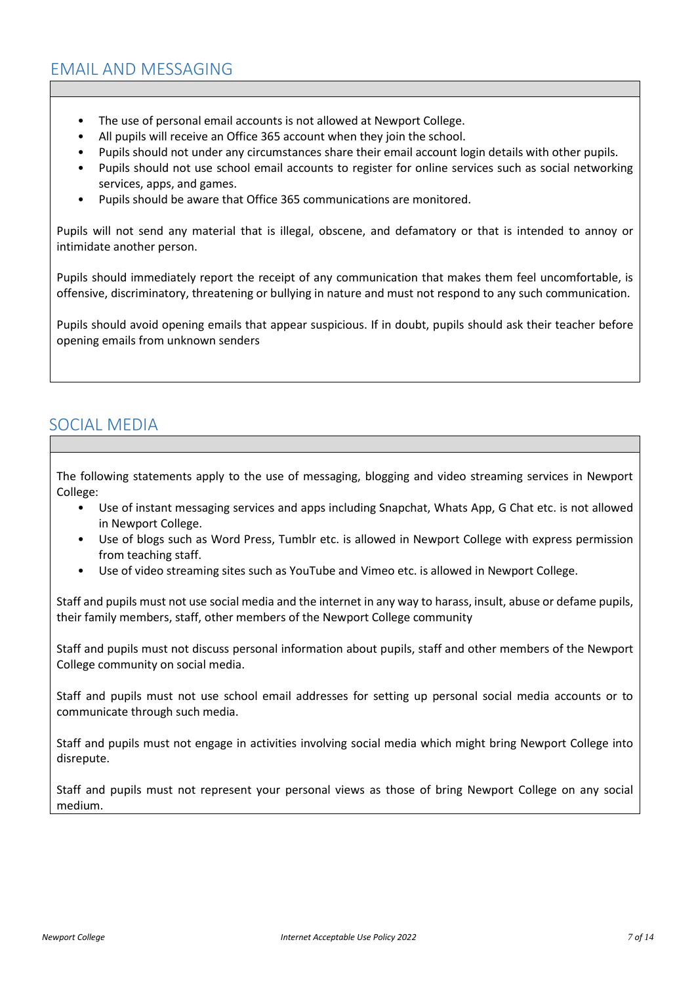- <span id="page-6-0"></span>• The use of personal email accounts is not allowed at Newport College.
- All pupils will receive an Office 365 account when they join the school.
- Pupils should not under any circumstances share their email account login details with other pupils.
- Pupils should not use school email accounts to register for online services such as social networking services, apps, and games.
- Pupils should be aware that Office 365 communications are monitored.

Pupils will not send any material that is illegal, obscene, and defamatory or that is intended to annoy or intimidate another person.

Pupils should immediately report the receipt of any communication that makes them feel uncomfortable, is offensive, discriminatory, threatening or bullying in nature and must not respond to any such communication.

Pupils should avoid opening emails that appear suspicious. If in doubt, pupils should ask their teacher before opening emails from unknown senders

#### <span id="page-6-1"></span>SOCIAL MEDIA

The following statements apply to the use of messaging, blogging and video streaming services in Newport College:

- Use of instant messaging services and apps including Snapchat, Whats App, G Chat etc. is not allowed in Newport College.
- Use of blogs such as Word Press, Tumblr etc. is allowed in Newport College with express permission from teaching staff.
- Use of video streaming sites such as YouTube and Vimeo etc. is allowed in Newport College.

Staff and pupils must not use social media and the internet in any way to harass, insult, abuse or defame pupils, their family members, staff, other members of the Newport College community

Staff and pupils must not discuss personal information about pupils, staff and other members of the Newport College community on social media.

Staff and pupils must not use school email addresses for setting up personal social media accounts or to communicate through such media.

Staff and pupils must not engage in activities involving social media which might bring Newport College into disrepute.

Staff and pupils must not represent your personal views as those of bring Newport College on any social medium.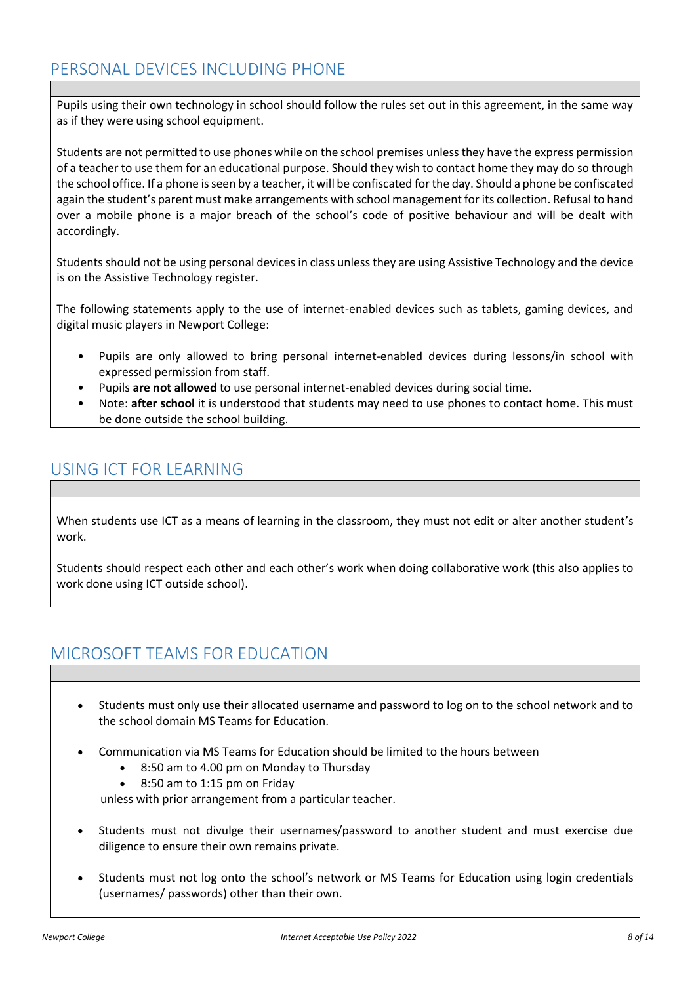### <span id="page-7-0"></span>PERSONAL DEVICES INCLUDING PHONE

Pupils using their own technology in school should follow the rules set out in this agreement, in the same way as if they were using school equipment.

Students are not permitted to use phones while on the school premises unlessthey have the express permission of a teacher to use them for an educational purpose. Should they wish to contact home they may do so through the school office. If a phone is seen by a teacher, it will be confiscated for the day. Should a phone be confiscated again the student's parent must make arrangements with school management for its collection. Refusal to hand over a mobile phone is a major breach of the school's code of positive behaviour and will be dealt with accordingly.

Students should not be using personal devices in class unless they are using Assistive Technology and the device is on the Assistive Technology register.

The following statements apply to the use of internet-enabled devices such as tablets, gaming devices, and digital music players in Newport College:

- Pupils are only allowed to bring personal internet-enabled devices during lessons/in school with expressed permission from staff.
- Pupils **are not allowed** to use personal internet-enabled devices during social time.
- Note: **after school** it is understood that students may need to use phones to contact home. This must be done outside the school building.

#### <span id="page-7-1"></span>USING ICT FOR LEARNING

When students use ICT as a means of learning in the classroom, they must not edit or alter another student's work.

Students should respect each other and each other's work when doing collaborative work (this also applies to work done using ICT outside school).

#### <span id="page-7-2"></span>MICROSOFT TEAMS FOR EDUCATION

- Students must only use their allocated username and password to log on to the school network and to the school domain MS Teams for Education.
- Communication via MS Teams for Education should be limited to the hours between
	- 8:50 am to 4.00 pm on Monday to Thursday
	- 8:50 am to 1:15 pm on Friday

unless with prior arrangement from a particular teacher.

- Students must not divulge their usernames/password to another student and must exercise due diligence to ensure their own remains private.
- Students must not log onto the school's network or MS Teams for Education using login credentials (usernames/ passwords) other than their own.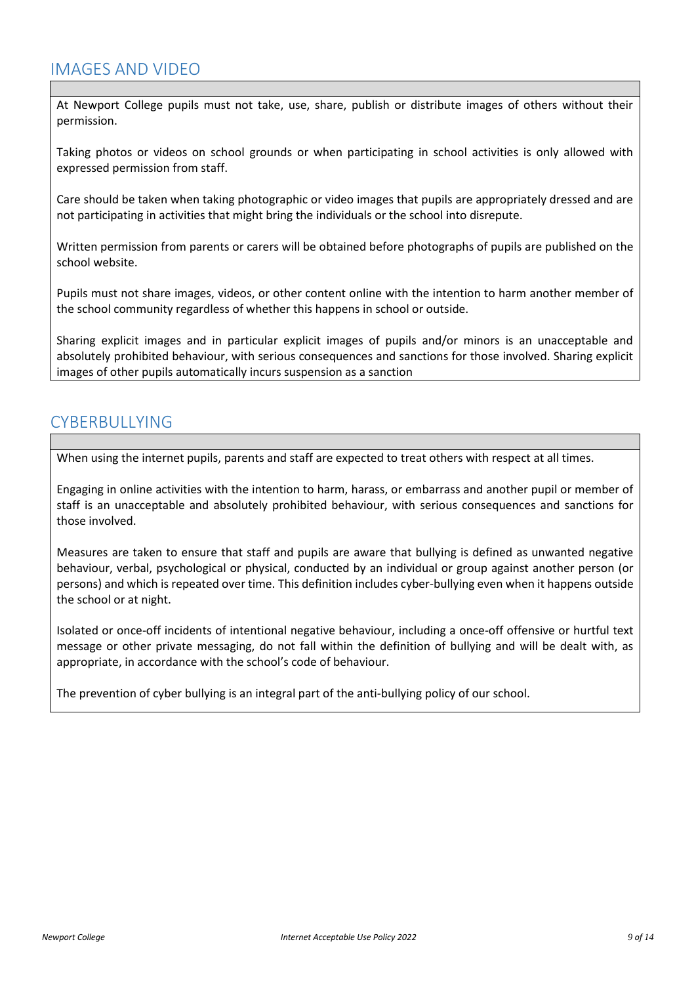<span id="page-8-0"></span>At Newport College pupils must not take, use, share, publish or distribute images of others without their permission.

Taking photos or videos on school grounds or when participating in school activities is only allowed with expressed permission from staff.

Care should be taken when taking photographic or video images that pupils are appropriately dressed and are not participating in activities that might bring the individuals or the school into disrepute.

Written permission from parents or carers will be obtained before photographs of pupils are published on the school website.

Pupils must not share images, videos, or other content online with the intention to harm another member of the school community regardless of whether this happens in school or outside.

Sharing explicit images and in particular explicit images of pupils and/or minors is an unacceptable and absolutely prohibited behaviour, with serious consequences and sanctions for those involved. Sharing explicit images of other pupils automatically incurs suspension as a sanction

#### <span id="page-8-1"></span>CYBERBULLYING

When using the internet pupils, parents and staff are expected to treat others with respect at all times.

Engaging in online activities with the intention to harm, harass, or embarrass and another pupil or member of staff is an unacceptable and absolutely prohibited behaviour, with serious consequences and sanctions for those involved.

Measures are taken to ensure that staff and pupils are aware that bullying is defined as unwanted negative behaviour, verbal, psychological or physical, conducted by an individual or group against another person (or persons) and which is repeated over time. This definition includes cyber-bullying even when it happens outside the school or at night.

Isolated or once-off incidents of intentional negative behaviour, including a once-off offensive or hurtful text message or other private messaging, do not fall within the definition of bullying and will be dealt with, as appropriate, in accordance with the school's code of behaviour.

The prevention of cyber bullying is an integral part of the anti-bullying policy of our school.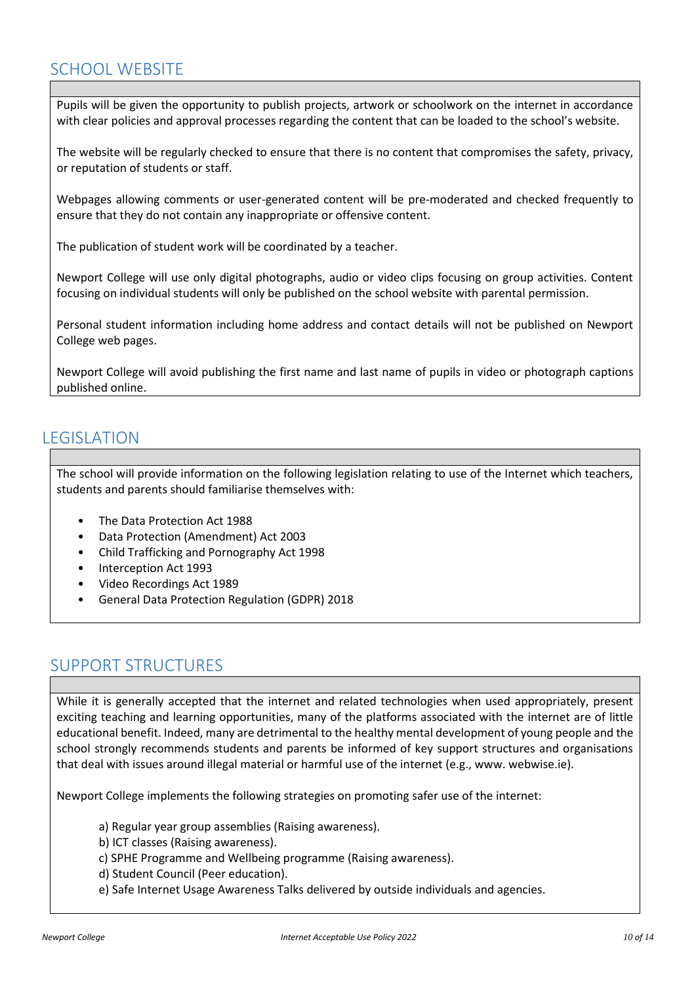## <span id="page-9-0"></span>SCHOOL WEBSITE

Pupils will be given the opportunity to publish projects, artwork or schoolwork on the internet in accordance with clear policies and approval processes regarding the content that can be loaded to the school's website.

The website will be regularly checked to ensure that there is no content that compromises the safety, privacy, or reputation of students or staff.

Webpages allowing comments or user-generated content will be pre-moderated and checked frequently to ensure that they do not contain any inappropriate or offensive content.

The publication of student work will be coordinated by a teacher.

Newport College will use only digital photographs, audio or video clips focusing on group activities. Content focusing on individual students will only be published on the school website with parental permission.

Personal student information including home address and contact details will not be published on Newport College web pages.

Newport College will avoid publishing the first name and last name of pupils in video or photograph captions published online.

#### <span id="page-9-1"></span>LEGISLATION

The school will provide information on the following legislation relating to use of the Internet which teachers, students and parents should familiarise themselves with:

- The Data Protection Act 1988
- Data Protection (Amendment) Act 2003
- Child Trafficking and Pornography Act 1998
- Interception Act 1993
- Video Recordings Act 1989
- General Data Protection Regulation (GDPR) 2018

#### <span id="page-9-2"></span>SUPPORT STRUCTURES

While it is generally accepted that the internet and related technologies when used appropriately, present exciting teaching and learning opportunities, many of the platforms associated with the internet are of little educational benefit. Indeed, many are detrimental to the healthy mental development of young people and the school strongly recommends students and parents be informed of key support structures and organisations that deal with issues around illegal material or harmful use of the internet (e.g., www. webwise.ie).

Newport College implements the following strategies on promoting safer use of the internet:

- a) Regular year group assemblies (Raising awareness).
- b) ICT classes (Raising awareness).
- c) SPHE Programme and Wellbeing programme (Raising awareness).
- d) Student Council (Peer education).
- e) Safe Internet Usage Awareness Talks delivered by outside individuals and agencies.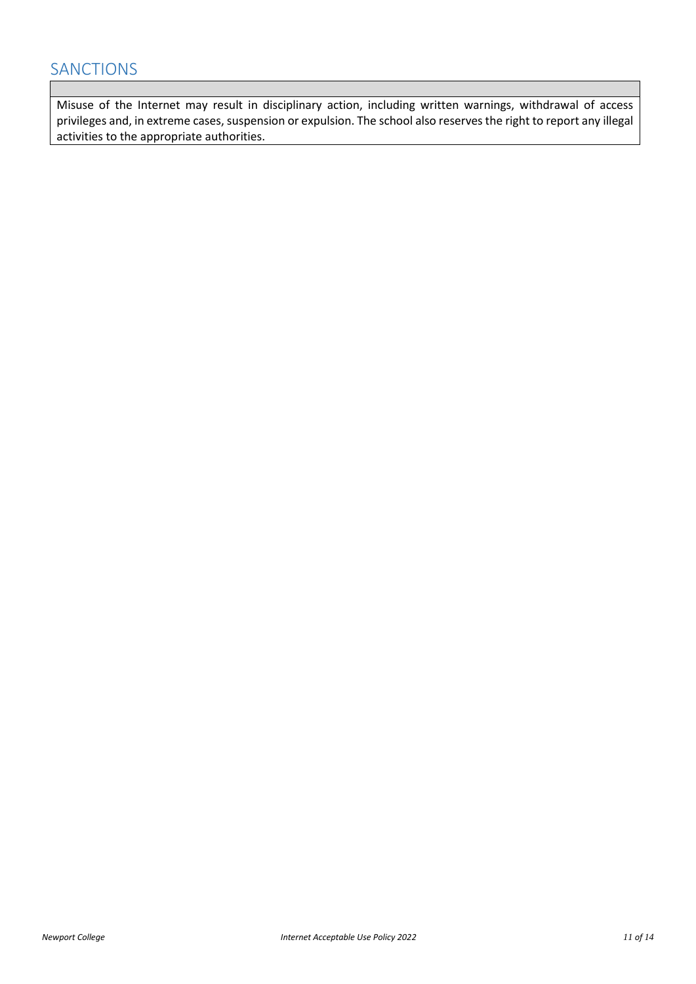#### <span id="page-10-0"></span>SANCTIONS

Misuse of the Internet may result in disciplinary action, including written warnings, withdrawal of access privileges and, in extreme cases, suspension or expulsion. The school also reserves the right to report any illegal activities to the appropriate authorities.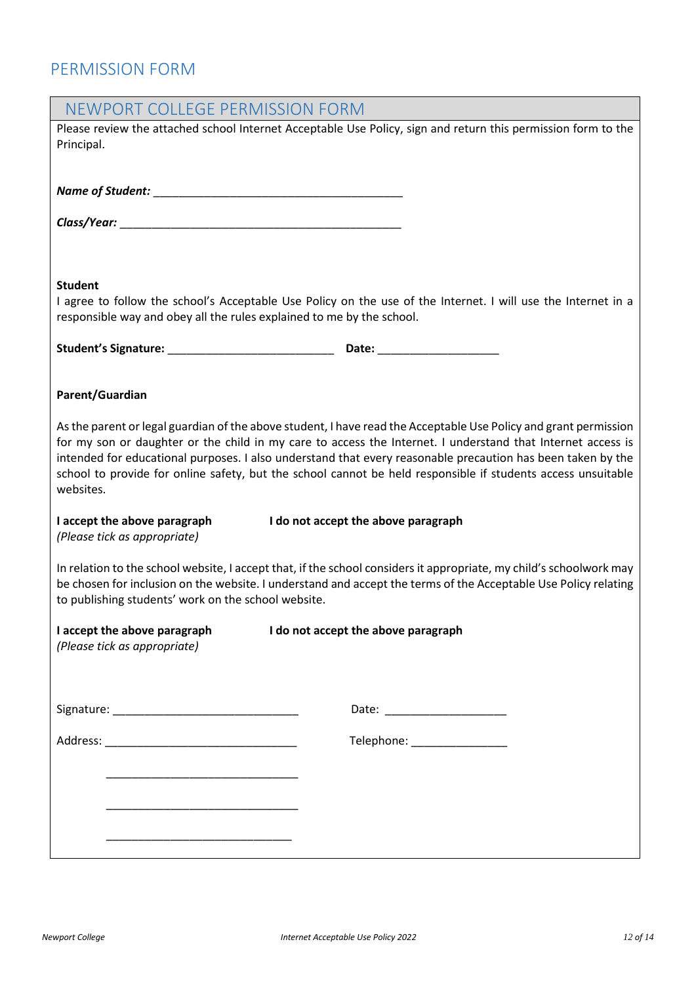### <span id="page-11-0"></span>PERMISSION FORM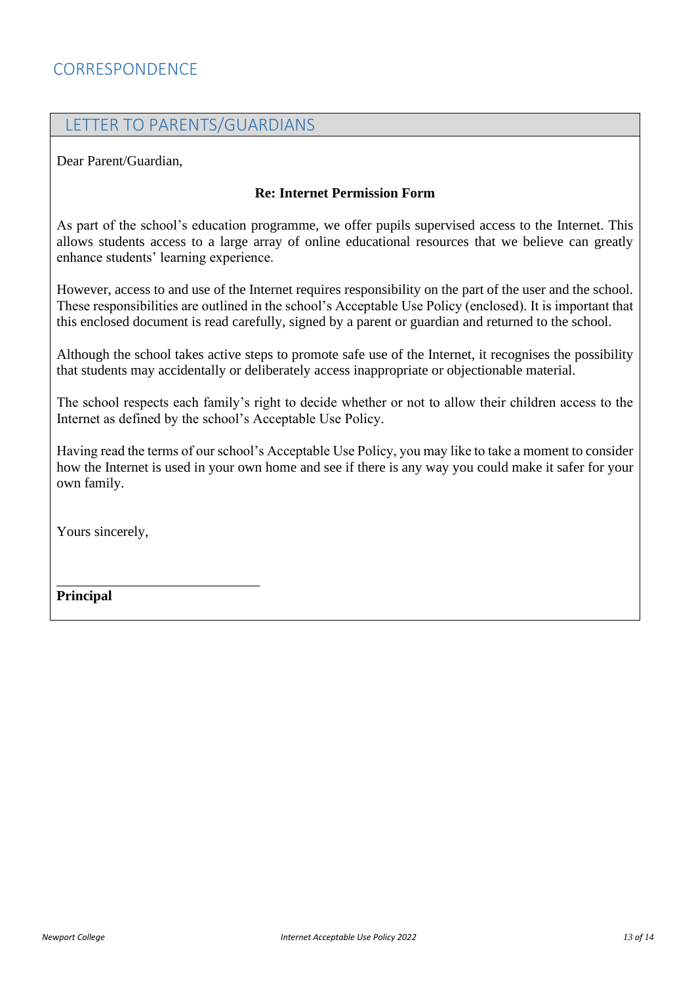#### <span id="page-12-0"></span>LETTER TO PARENTS/GUARDIANS

Dear Parent/Guardian,

#### **Re: Internet Permission Form**

As part of the school's education programme, we offer pupils supervised access to the Internet. This allows students access to a large array of online educational resources that we believe can greatly enhance students' learning experience.

However, access to and use of the Internet requires responsibility on the part of the user and the school. These responsibilities are outlined in the school's Acceptable Use Policy (enclosed). It is important that this enclosed document is read carefully, signed by a parent or guardian and returned to the school.

Although the school takes active steps to promote safe use of the Internet, it recognises the possibility that students may accidentally or deliberately access inappropriate or objectionable material.

The school respects each family's right to decide whether or not to allow their children access to the Internet as defined by the school's Acceptable Use Policy.

Having read the terms of our school's Acceptable Use Policy, you may like to take a moment to consider how the Internet is used in your own home and see if there is any way you could make it safer for your own family.

Yours sincerely,

\_\_\_\_\_\_\_\_\_\_\_\_\_\_\_\_\_\_\_\_\_\_\_\_\_\_\_\_\_

**Principal**